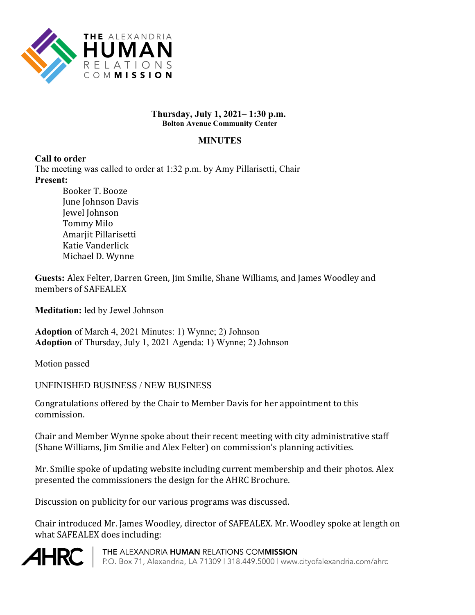

#### **Thursday, July 1, 2021– 1:30 p.m. Bolton Avenue Community Center**

#### **MINUTES**

#### **Call to order**

The meeting was called to order at 1:32 p.m. by Amy Pillarisetti, Chair **Present:** 

Booker T. Booze June Johnson Davis Jewel Johnson Tommy Milo Amarjit Pillarisetti Katie Vanderlick Michael D. Wynne

**Guests:** Alex Felter, Darren Green, Jim Smilie, Shane Williams, and James Woodley and members of SAFEALEX

**Meditation:** led by Jewel Johnson

**Adoption** of March 4, 2021 Minutes: 1) Wynne; 2) Johnson **Adoption** of Thursday, July 1, 2021 Agenda: 1) Wynne; 2) Johnson

Motion passed

# UNFINISHED BUSINESS / NEW BUSINESS

Congratulations offered by the Chair to Member Davis for her appointment to this commission.

Chair and Member Wynne spoke about their recent meeting with city administrative staff (Shane Williams, Jim Smilie and Alex Felter) on commission's planning activities.

Mr. Smilie spoke of updating website including current membership and their photos. Alex presented the commissioners the design for the AHRC Brochure.

Discussion on publicity for our various programs was discussed.

Chair introduced Mr. James Woodley, director of SAFEALEX. Mr. Woodley spoke at length on what SAFEALEX does including:



THE ALEXANDRIA HUMAN RELATIONS COMMISSION P.O. Box 71, Alexandria, LA 71309 | 318.449.5000 | www.cityofalexandria.com/ahrc